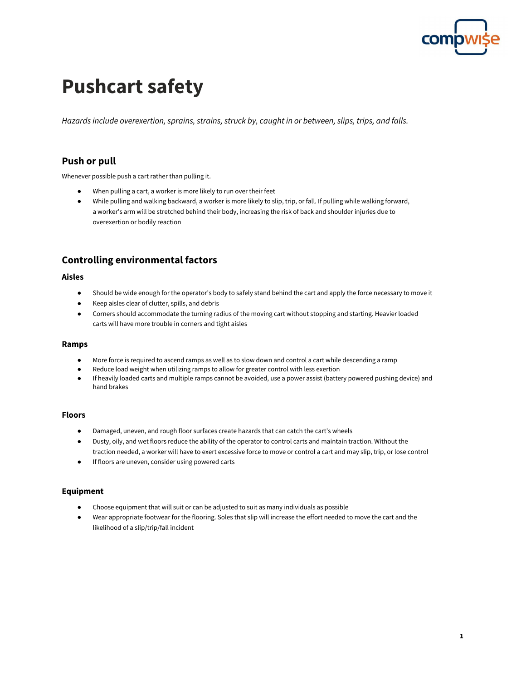

# **Pushcart safety**

*Hazards include overexertion, sprains, strains, struck by, caught in or between, slips, trips, and falls.*

## **Push or pull**

Whenever possible push a cart rather than pulling it.

- When pulling a cart, a worker is more likely to run over their feet
- While pulling and walking backward, a worker is more likely to slip, trip, or fall. If pulling while walking forward, a worker's arm will be stretched behind their body, increasing the risk of back and shoulder injuries due to overexertion or bodily reaction

## **Controlling environmental factors**

#### **Aisles**

- Should be wide enough for the operator's body to safely stand behind the cart and apply the force necessary to move it
- Keep aisles clear of clutter, spills, and debris
- Corners should accommodate the turning radius of the moving cart without stopping and starting. Heavier loaded carts will have more trouble in corners and tight aisles

#### **Ramps**

- More force is required to ascend ramps as well as to slow down and control a cart while descending a ramp
- Reduce load weight when utilizing ramps to allow for greater control with less exertion
- If heavily loaded carts and multiple ramps cannot be avoided, use a power assist (battery powered pushing device) and hand brakes

#### **Floors**

- Damaged, uneven, and rough floor surfaces create hazards that can catch the cart's wheels
- Dusty, oily, and wet floors reduce the ability of the operator to control carts and maintain traction. Without the traction needed, a worker will have to exert excessive force to move or control a cart and may slip, trip, or lose control
- If floors are uneven, consider using powered carts

#### **Equipment**

- Choose equipment that will suit or can be adjusted to suit as many individuals as possible
- Wear appropriate footwear for the flooring. Soles that slip will increase the effort needed to move the cart and the likelihood of a slip/trip/fall incident